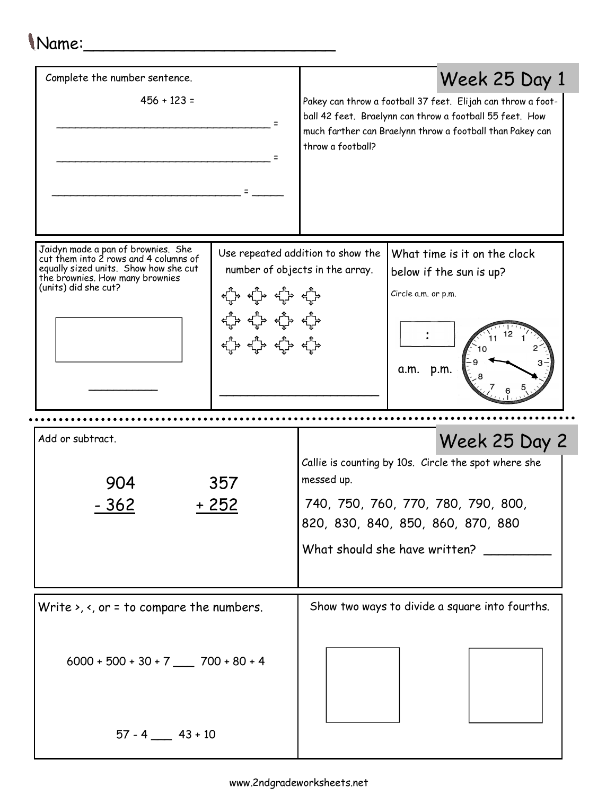## Name:\_\_\_\_\_\_\_\_\_\_\_\_\_\_\_\_\_\_\_\_\_\_\_\_\_

| Complete the number sentence.                                                                                                                                                   |  | Week 25 Day 1                                                                                                                                                                  |                                                                                                                                                                                       |
|---------------------------------------------------------------------------------------------------------------------------------------------------------------------------------|--|--------------------------------------------------------------------------------------------------------------------------------------------------------------------------------|---------------------------------------------------------------------------------------------------------------------------------------------------------------------------------------|
| $456 + 123 =$<br>Ξ                                                                                                                                                              |  | throw a football?                                                                                                                                                              | Pakey can throw a football 37 feet. Elijah can throw a foot-<br>ball 42 feet. Braelynn can throw a football 55 feet. How<br>much farther can Braelynn throw a football than Pakey can |
| Jaidyn made a pan of brownies. She<br>cut them into 2 rows and 4 columns of<br>equally sized units. Show how she cut<br>the brownies. How many brownies<br>(units) did she cut? |  | Use repeated addition to show the<br>number of objects in the array.                                                                                                           | What time is it on the clock<br>below if the sun is up?<br>Circle a.m. or p.m.<br>a.m. p.m.                                                                                           |
| Add or subtract.                                                                                                                                                                |  |                                                                                                                                                                                | Week 25 Day 2                                                                                                                                                                         |
| 357<br>904<br>- 362<br>+ 252                                                                                                                                                    |  | Callie is counting by 10s. Circle the spot where she<br>messed up.<br>740, 750, 760, 770, 780, 790, 800,<br>820, 830, 840, 850, 860, 870, 880<br>What should she have written? |                                                                                                                                                                                       |
| Write $\lambda$ , $\lambda$ , or = to compare the numbers.                                                                                                                      |  | Show two ways to divide a square into fourths.                                                                                                                                 |                                                                                                                                                                                       |
| $6000 + 500 + 30 + 7$ 700 + 80 + 4                                                                                                                                              |  |                                                                                                                                                                                |                                                                                                                                                                                       |
| $57 - 4$ 43 + 10                                                                                                                                                                |  |                                                                                                                                                                                |                                                                                                                                                                                       |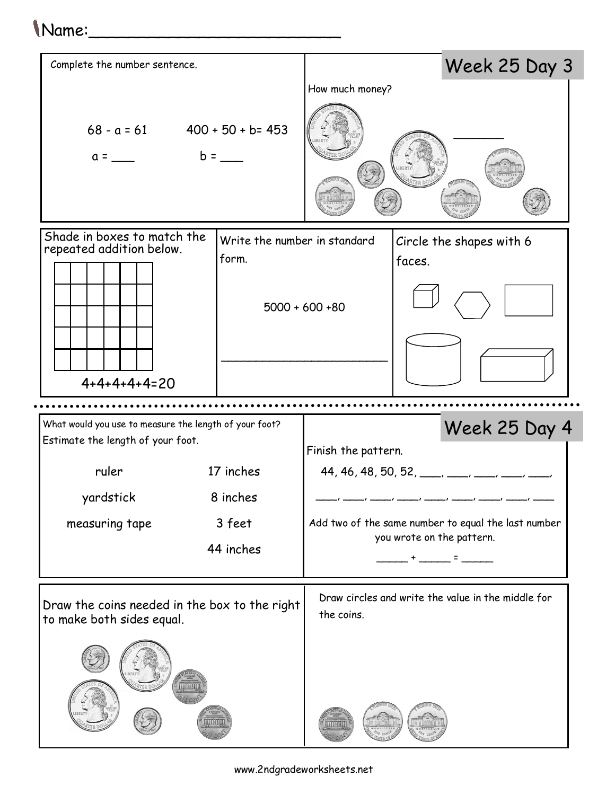## Name:\_\_\_\_\_\_\_\_\_\_\_\_\_\_\_\_\_\_\_\_\_\_\_\_\_